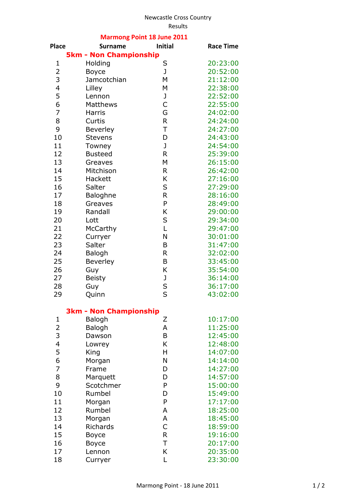## Newcastle Cross Country

| <b>Marmong Point 18 June 2011</b> |                               |                |                  |  |
|-----------------------------------|-------------------------------|----------------|------------------|--|
| <b>Place</b>                      | <b>Surname</b>                | <b>Initial</b> | <b>Race Time</b> |  |
|                                   | <b>5km - Non Championship</b> |                |                  |  |
| 1                                 | Holding                       | S              | 20:23:00         |  |
| $\overline{2}$                    | <b>Boyce</b>                  | J              | 20:52:00         |  |
| 3                                 | Jamcotchian                   | M              | 21:12:00         |  |
| $\overline{\mathbf{4}}$           | Lilley                        | M              | 22:38:00         |  |
| 5                                 | Lennon                        | J              | 22:52:00         |  |
| 6                                 | Matthews                      | $\mathsf{C}$   | 22:55:00         |  |
| $\overline{7}$                    | <b>Harris</b>                 | G              | 24:02:00         |  |
| 8                                 | Curtis                        | $\mathsf R$    | 24:24:00         |  |
| 9                                 | <b>Beverley</b>               | T              | 24:27:00         |  |
| 10                                | <b>Stevens</b>                | D              | 24:43:00         |  |
| 11                                | Towney                        | J              | 24:54:00         |  |
| 12                                | <b>Busteed</b>                | $\mathsf{R}$   | 25:39:00         |  |
| 13                                | Greaves                       | M              | 26:15:00         |  |
| 14                                | Mitchison                     | R              | 26:42:00         |  |
| 15                                | Hackett                       | Κ              | 27:16:00         |  |
| 16                                | Salter                        | $\sf S$        | 27:29:00         |  |
| 17                                | Baloghne                      | $\mathsf{R}$   | 28:16:00         |  |
| 18                                | Greaves                       | P              | 28:49:00         |  |
| 19                                | Randall                       | Κ              | 29:00:00         |  |
| 20                                | Lott                          | S              | 29:34:00         |  |
| 21                                | McCarthy                      | L              | 29:47:00         |  |
| 22                                |                               | N              |                  |  |
|                                   | Curryer                       |                | 30:01:00         |  |
| 23                                | Salter                        | B              | 31:47:00         |  |
| 24                                | <b>Balogh</b>                 | $\mathsf{R}$   | 32:02:00         |  |
| 25                                | Beverley                      | B              | 33:45:00         |  |
| 26                                | Guy                           | K              | 35:54:00         |  |
| 27                                | <b>Beisty</b>                 | J              | 36:14:00         |  |
| 28                                | Guy                           | S<br>S         | 36:17:00         |  |
| 29                                | Quinn                         |                | 43:02:00         |  |
|                                   | <b>3km - Non Championship</b> |                |                  |  |
| 1                                 | Balogh                        | Ζ              | 10:17:00         |  |
| $\overline{\mathbf{c}}$           | Balogh                        | A              | 11:25:00         |  |
| 3                                 | Dawson                        | B              | 12:45:00         |  |
| $\overline{\mathcal{A}}$          | Lowrey                        | K              | 12:48:00         |  |
| 5                                 | King                          | Η              | 14:07:00         |  |
| 6                                 | Morgan                        | N              | 14:14:00         |  |
| $\overline{7}$                    | Frame                         | D              | 14:27:00         |  |
| 8                                 | Marquett                      | D              | 14:57:00         |  |
| 9                                 | Scotchmer                     | P              | 15:00:00         |  |
| 10                                | Rumbel                        | D              | 15:49:00         |  |
| 11                                | Morgan                        | P              | 17:17:00         |  |
| 12                                | Rumbel                        | A              | 18:25:00         |  |
| 13                                | Morgan                        | Α              | 18:45:00         |  |
| 14                                | Richards                      | $\mathsf{C}$   | 18:59:00         |  |
| 15                                | Boyce                         | $\mathsf{R}$   | 19:16:00         |  |
| 16                                | <b>Boyce</b>                  | T              | 20:17:00         |  |
| 17                                | Lennon                        | K              | 20:35:00         |  |
| 18                                | Curryer                       | L              | 23:30:00         |  |
|                                   |                               |                |                  |  |